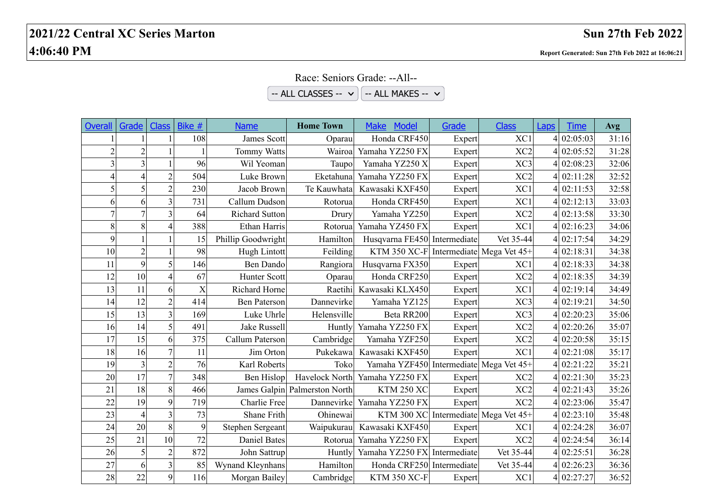## **2021/22 Central XC Series Marton Sun 27th Feb 2022 4:06:40 PM Report Generated: Sun 27th Feb 2022 at 16:06:21**

## Race: Seniors Grade: --All--

|  | -- ALL CLASSES --  v    -- ALL MAKES --  v |
|--|--------------------------------------------|
|--|--------------------------------------------|

| <b>Overall</b> | Grade          | <b>Class</b>   | Bike #         | <b>Name</b>           | <b>Home Town</b>              | <b>Model</b><br><b>Make</b>             | Grade  | <b>Class</b>                         | Laps | <b>Time</b> | Avg   |
|----------------|----------------|----------------|----------------|-----------------------|-------------------------------|-----------------------------------------|--------|--------------------------------------|------|-------------|-------|
|                |                |                | 108            | James Scott           | Oparau                        | Honda CRF450                            | Expert | XC1                                  |      | 4 02:05:03  | 31:16 |
| $\overline{2}$ | $\overline{2}$ |                |                | <b>Tommy Watts</b>    | Wairoa                        | Yamaha YZ250 FX                         | Expert | XC <sub>2</sub>                      |      | 4 02:05:52  | 31:28 |
|                | 3              |                | 96             | Wil Yeoman            | Taupol                        | Yamaha YZ250 X                          | Expert | XC3                                  |      | 4 02:08:23  | 32:06 |
|                | $\overline{4}$ | $\overline{2}$ | 504            | Luke Brown            | Eketahuna                     | Yamaha YZ250 FX                         | Expert | XC <sub>2</sub>                      |      | 4 02:11:28  | 32:52 |
|                | 5              | $\overline{2}$ | 230            | Jacob Brown           | Te Kauwhata                   | Kawasaki KXF450                         | Expert | XC1                                  |      | 4 02:11:53  | 32:58 |
| 6              | 6              | $\overline{3}$ | 731            | Callum Dudson         | Rotorua                       | Honda CRF450                            | Expert | XC1                                  |      | 4 02:12:13  | 33:03 |
| $\overline{7}$ | $\overline{7}$ | $\overline{3}$ | 64             | <b>Richard Sutton</b> | Drury                         | Yamaha YZ250                            | Expert | XC <sub>2</sub>                      |      | 4 02:13:58  | 33:30 |
| 8              | 8              | $\overline{4}$ | 388            | Ethan Harris          | Rotorua                       | Yamaha YZ450 FX                         | Expert | XC1                                  |      | 4 02:16:23  | 34:06 |
| 9              | 1              |                | 15             | Phillip Goodwright    | Hamilton                      | Husqvarna FE450 Intermediate            |        | Vet 35-44                            |      | 4 02:17:54  | 34:29 |
| 10             | $\overline{2}$ |                | 98             | Hugh Lintott          | Feilding                      | KTM 350 XC-F Intermediate Mega Vet 45+  |        |                                      |      | 4 02:18:31  | 34:38 |
| 11             | 9              | 5              | 146            | <b>Ben Dando</b>      | Rangiora                      | Husqvarna FX350                         | Expert | XC1                                  |      | 4 02:18:33  | 34:38 |
| 12             | 10             | $\overline{4}$ | 67             | <b>Hunter Scott</b>   | Oparau                        | Honda CRF250                            | Expert | XC <sub>2</sub>                      |      | 4 02:18:35  | 34:39 |
| 13             | 11             | 6              | $\overline{X}$ | Richard Horne         | Raetihi                       | Kawasaki KLX450                         | Expert | XC1                                  |      | 4 02:19:14  | 34:49 |
| 14             | 12             | $\overline{2}$ | 414            | <b>Ben Paterson</b>   | Dannevirke                    | Yamaha YZ125                            | Expert | XC3                                  |      | 4 02:19:21  | 34:50 |
| 15             | 13             | 3              | 169            | Luke Uhrle            | Helensville                   | Beta RR200                              | Expert | XC3                                  |      | 4 02:20:23  | 35:06 |
| 16             | 14             | 5              | 491            | <b>Jake Russell</b>   | Huntly                        | Yamaha YZ250 FX                         | Expert | XC <sub>2</sub>                      |      | 4 02:20:26  | 35:07 |
| 17             | 15             | 6              | 375            | Callum Paterson       | Cambridge                     | Yamaha YZF250                           | Expert | XC <sub>2</sub>                      |      | 4 02:20:58  | 35:15 |
| 18             | 16             | $\overline{7}$ | 11             | Jim Orton             | Pukekawa                      | Kawasaki KXF450                         | Expert | XC1                                  |      | 4 02:21:08  | 35:17 |
| 19             | 3              | $\overline{2}$ | 76             | Karl Roberts          | Toko                          | Yamaha YZF450 Intermediate Mega Vet 45+ |        |                                      |      | 4 02:21:22  | 35:21 |
| 20             | 17             | $\overline{7}$ | 348            | Ben Hislop            | Havelock North                | Yamaha YZ250 FX                         | Expert | XC <sub>2</sub>                      |      | 4 02:21:30  | 35:23 |
| 21             | 18             | 8              | 466            |                       | James Galpin Palmerston North | <b>KTM 250 XC</b>                       | Expert | XC <sub>2</sub>                      |      | 4 02:21:43  | 35:26 |
| 22             | 19             | 9              | 719            | Charlie Free          | Dannevirke                    | Yamaha YZ250 FX                         | Expert | XC <sub>2</sub>                      |      | 4 02:23:06  | 35:47 |
| 23             | $\overline{4}$ | 3              | 73             | Shane Frith           | Ohinewai                      |                                         |        | KTM 300 XC Intermediate Mega Vet 45+ |      | 4 02:23:10  | 35:48 |
| 24             | 20             | 8              | 9              | Stephen Sergeant      | Waipukurau                    | Kawasaki KXF450                         | Expert | XC1                                  |      | 4 02:24:28  | 36:07 |
| 25             | 21             | 10             | 72             | <b>Daniel Bates</b>   | Rotorua                       | Yamaha YZ250 FX                         | Expert | XC <sub>2</sub>                      |      | 4 02:24:54  | 36:14 |
| 26             | $\mathfrak s$  | $\overline{c}$ | 872            | John Sattrup          | Huntly                        | Yamaha YZ250 FX Intermediate            |        | Vet 35-44                            |      | 4 02:25:51  | 36:28 |
| 27             | 6              | $\overline{3}$ | 85             | Wynand Kleynhans      | Hamilton                      | Honda CRF250 Intermediate               |        | Vet 35-44                            |      | 4 02:26:23  | 36:36 |
| 28             | 22             | 9              | 116            | Morgan Bailey         | Cambridge                     | <b>KTM 350 XC-F</b>                     | Expert | XC1                                  |      | 4 02:27:27  | 36:52 |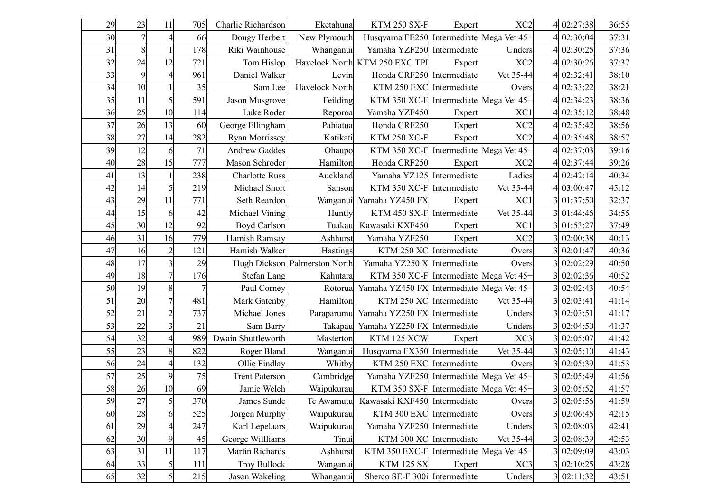| 29 | 23         | 11             | 705 | Charlie Richardson    | Eketahuna                     | <b>KTM 250 SX-F</b>                       | Expert       | XC <sub>2</sub> | 4 02:27:38 | 36:55 |
|----|------------|----------------|-----|-----------------------|-------------------------------|-------------------------------------------|--------------|-----------------|------------|-------|
| 30 | $\sqrt{ }$ | 4              | 66  | Dougy Herbert         | New Plymouth                  | Husqvarna FE250 Intermediate Mega Vet 45+ |              |                 | 4 02:30:04 | 37:31 |
| 31 | 8          |                | 178 | Riki Wainhouse        | Whanganui                     | Yamaha YZF250 Intermediate                |              | Unders          | 02:30:25   | 37:36 |
| 32 | 24         | 12             | 721 | Tom Hislop            |                               | Havelock North KTM 250 EXC TPI            | Expert       | XC <sub>2</sub> | 4 02:30:26 | 37:37 |
| 33 | 9          | $\overline{4}$ | 961 | Daniel Walker         | Levin                         | Honda CRF250 Intermediate                 |              | Vet 35-44       | 02:32:41   | 38:10 |
| 34 | 10         |                | 35  | Sam Lee               | Havelock North                | KTM 250 EXC Intermediate                  |              | Overs           | 4 02:33:22 | 38:21 |
| 35 | 11         | 5              | 591 | Jason Musgrove        | Feilding                      | KTM 350 XC-F Intermediate Mega Vet 45+    |              |                 | 4 02:34:23 | 38:36 |
| 36 | 25         | 10             | 114 | Luke Roder            | Reporoa                       | Yamaha YZF450                             | Expert       | XC1             | 02:35:12   | 38:48 |
| 37 | 26         | 13             | 60  | George Ellingham      | Pahiatua                      | Honda CRF250                              | Expert       | XC <sub>2</sub> | 02:35:42   | 38:56 |
| 38 | 27         | 14             | 282 | Ryan Morrissey        | Katikati                      | <b>KTM 250 XC-F</b>                       | Expert       | XC <sub>2</sub> | 02:35:48   | 38:57 |
| 39 | 12         | 6              | 71  | <b>Andrew Gaddes</b>  | Ohaupo                        | KTM 350 XC-F Intermediate Mega Vet 45+    |              |                 | 02:37:03   | 39:16 |
| 40 | 28         | 15             | 777 | Mason Schroder        | Hamilton                      | Honda CRF250                              | Expert       | XC <sub>2</sub> | 4 02:37:44 | 39:26 |
| 41 | 13         |                | 238 | <b>Charlotte Russ</b> | Auckland                      | Yamaha YZ125 Intermediate                 |              | Ladies          | 4 02:42:14 | 40:34 |
| 42 | 14         | 5              | 219 | Michael Short         | Sanson                        | KTM 350 XC-F Intermediate                 |              | Vet 35-44       | 03:00:47   | 45:12 |
| 43 | 29         | 11             | 771 | Seth Reardon          | Wanganui                      | Yamaha YZ450 FX                           | Expert       | XC1             | 01:37:50   | 32:37 |
| 44 | 15         | 6              | 42  | Michael Vining        | Huntly                        | KTM 450 SX-F Intermediate                 |              | Vet 35-44       | 01:44:46   | 34:55 |
| 45 | 30         | 12             | 92  | <b>Boyd Carlson</b>   | Tuakau                        | Kawasaki KXF450                           | Expert       | XC1             | 3 01:53:27 | 37:49 |
| 46 | 31         | 16             | 779 | Hamish Ramsay         | Ashhurst                      | Yamaha YZF250                             | Expert       | XC <sub>2</sub> | 02:00:38   | 40:13 |
| 47 | 16         | $\overline{2}$ | 121 | Hamish Walker         | Hastings                      | KTM 250 XC Intermediate                   |              | Overs           | 02:01:47   | 40:36 |
| 48 | 17         | 3              | 29  |                       | Hugh Dickson Palmerston North | Yamaha YZ250 X                            | Intermediate | Overs           | 02:02:29   | 40:50 |
| 49 | 18         | $\overline{7}$ | 176 | <b>Stefan Lang</b>    | Kahutara                      | KTM 350 XC-F Intermediate Mega Vet 45+    |              |                 | 02:02:36   | 40:52 |
| 50 | 19         | 8              |     | Paul Corney           | Rotorua                       | Yamaha YZ450 FX Intermediate Mega Vet 45+ |              |                 | 02:02:43   | 40:54 |
| 51 | 20         | $\overline{7}$ | 481 | Mark Gatenby          | Hamilton                      | KTM 250 XC Intermediate                   |              | Vet 35-44       | 3 02:03:41 | 41:14 |
| 52 | 21         | $\overline{c}$ | 737 | Michael Jones         |                               | Paraparumu Yamaha YZ250 FX Intermediate   |              | Unders          | 02:03:51   | 41:17 |
| 53 | 22         | 3              | 21  | Sam Barry             | Takapau                       | Yamaha YZ250 FX Intermediate              |              | Unders          | 02:04:50   | 41:37 |
| 54 | 32         | $\overline{4}$ | 989 | Dwain Shuttleworth    | Masterton                     | KTM 125 XCW                               | Expert       | XC3             | 02:05:07   | 41:42 |
| 55 | 23         | 8              | 822 | Roger Bland           | Wanganui                      | Husqvarna FX350 Intermediate              |              | Vet 35-44       | 02:05:10   | 41:43 |
| 56 | 24         | 4              | 132 | Ollie Findlay         | Whitby                        | KTM 250 EXC Intermediate                  |              | Overs           | 02:05:39   | 41:53 |
| 57 | 25         | 9              | 75  | <b>Trent Paterson</b> | Cambridge                     | Yamaha YZF250 Intermediate Mega Vet 45+   |              |                 | 02:05:49   | 41:56 |
| 58 | 26         | 10             | 69  | Jamie Welch           | Waipukurau                    | KTM 350 SX-F Intermediate Mega Vet 45+    |              |                 | 02:05:52   | 41:57 |
| 59 | 27         | $\vert$        | 370 | James Sunde           |                               | Te Awamutu Kawasaki KXF450 Intermediate   |              | Overs           | 3 02:05:56 | 41:59 |
| 60 | 28         | 6              | 525 | Jorgen Murphy         | Waipukurau                    | KTM 300 EXC Intermediate                  |              | Overs           | 02:06:45   | 42:15 |
| 61 | 29         | 4              | 247 | Karl Lepelaars        | Waipukurau                    | Yamaha YZF250 Intermediate                |              | Unders          | 02:08:03   | 42:41 |
| 62 | 30         | 9              | 45  | George Willliams      | Tinui                         | KTM 300 XC Intermediate                   |              | Vet 35-44       | 02:08:39   | 42:53 |
| 63 | 31         | 11             | 117 | Martin Richards       | Ashhurst                      | KTM 350 EXC-F Intermediate Mega Vet 45+   |              |                 | 02:09:09   | 43:03 |
| 64 | 33         | 5              | 111 | <b>Troy Bullock</b>   | Wanganui                      | <b>KTM 125 SX</b>                         | Expert       | XC3             | 3 02:10:25 | 43:28 |
| 65 | 32         | 5              | 215 | Jason Wakeling        | Whanganui                     | Sherco SE-F 300i Intermediate             |              | Unders          | 3 02:11:32 | 43:51 |